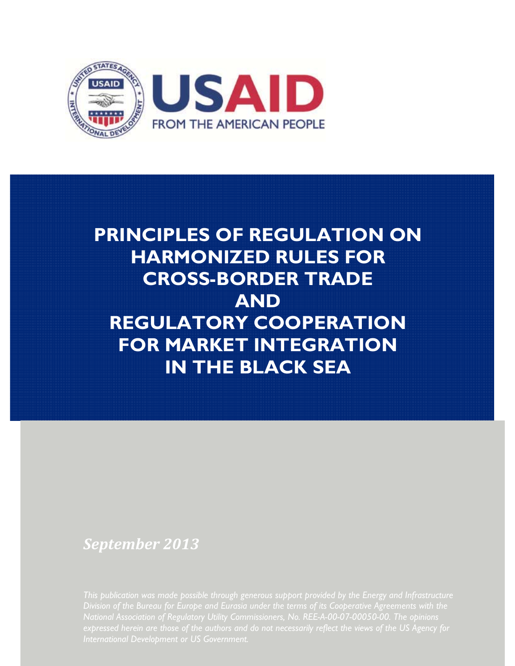

# **PRINCIPLES OF REGULATION ON HARMONIZED RULES FOR CROSS-BORDER TRADE AND REGULATORY COOPERATION FOR MARKET INTEGRATION IN THE BLACK SEA**

## *September 2013*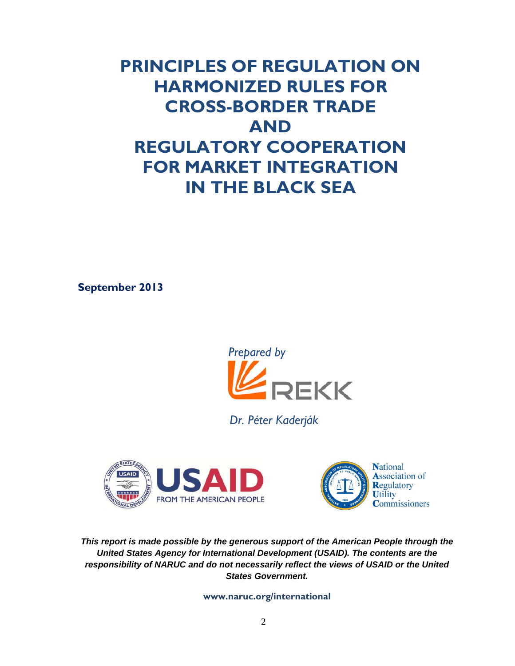## **PRINCIPLES OF REGULATION ON HARMONIZED RULES FOR CROSS-BORDER TRADE AND REGULATORY COOPERATION FOR MARKET INTEGRATION IN THE BLACK SEA**

**September 2013** 



 *Dr. Péter Kaderják* 





*This report is made possible by the generous support of the American People through the United States Agency for International Development (USAID). The contents are the responsibility of NARUC and do not necessarily reflect the views of USAID or the United States Government.* 

**www.naruc.org/international**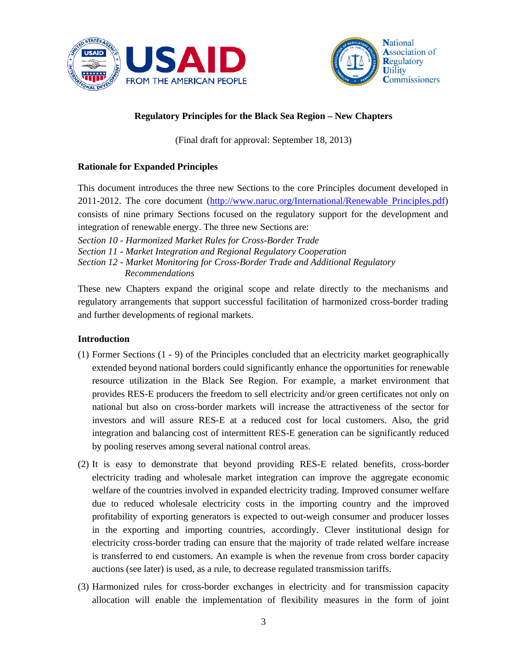



## **Regulatory Principles for the Black Sea Region – New Chapters**

(Final draft for approval: September 18, 2013)

## **Rationale for Expanded Principles**

This document introduces the three new Sections to the core Principles document developed in 2011-2012. The core document (http://www.naruc.org/International/Renewable Principles.pdf) consists of nine primary Sections focused on the regulatory support for the development and integration of renewable energy. The three new Sections are:

*Section 10 - Harmonized Market Rules for Cross-Border Trade Section 11 - Market Integration and Regional Regulatory Cooperation Section 12 - Market Monitoring for Cross-Border Trade and Additional Regulatory**Recommendations* 

These new Chapters expand the original scope and relate directly to the mechanisms and regulatory arrangements that support successful facilitation of harmonized cross-border trading and further developments of regional markets.

## **Introduction**

- (1) Former Sections (1 9) of the Principles concluded that an electricity market geographically extended beyond national borders could significantly enhance the opportunities for renewable resource utilization in the Black See Region. For example, a market environment that provides RES-E producers the freedom to sell electricity and/or green certificates not only on national but also on cross-border markets will increase the attractiveness of the sector for investors and will assure RES-E at a reduced cost for local customers. Also, the grid integration and balancing cost of intermittent RES-E generation can be significantly reduced by pooling reserves among several national control areas.
- (2) It is easy to demonstrate that beyond providing RES-E related benefits, cross-border electricity trading and wholesale market integration can improve the aggregate economic welfare of the countries involved in expanded electricity trading. Improved consumer welfare due to reduced wholesale electricity costs in the importing country and the improved profitability of exporting generators is expected to out-weigh consumer and producer losses in the exporting and importing countries, accordingly. Clever institutional design for electricity cross-border trading can ensure that the majority of trade related welfare increase is transferred to end customers. An example is when the revenue from cross border capacity auctions (see later) is used, as a rule, to decrease regulated transmission tariffs.
- (3) Harmonized rules for cross-border exchanges in electricity and for transmission capacity allocation will enable the implementation of flexibility measures in the form of joint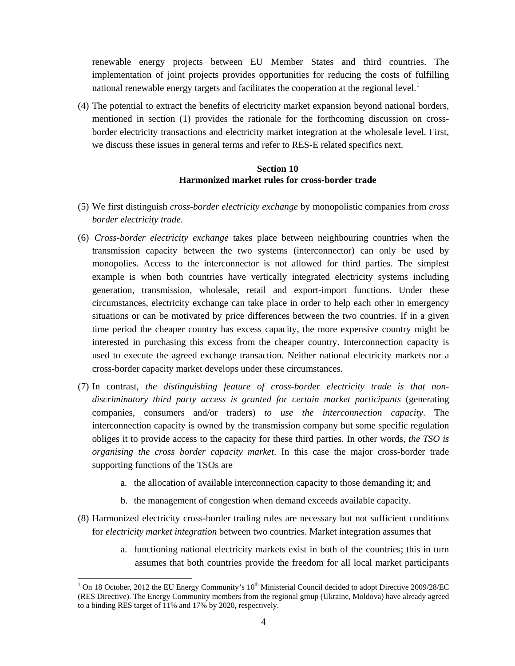renewable energy projects between EU Member States and third countries. The implementation of joint projects provides opportunities for reducing the costs of fulfilling national renewable energy targets and facilitates the cooperation at the regional level.<sup>1</sup>

(4) The potential to extract the benefits of electricity market expansion beyond national borders, mentioned in section (1) provides the rationale for the forthcoming discussion on crossborder electricity transactions and electricity market integration at the wholesale level. First, we discuss these issues in general terms and refer to RES-E related specifics next.

## **Section 10 Harmonized market rules for cross-border trade**

- (5) We first distinguish *cross-border electricity exchange* by monopolistic companies from *cross border electricity trade*.
- (6) *Cross-border electricity exchange* takes place between neighbouring countries when the transmission capacity between the two systems (interconnector) can only be used by monopolies. Access to the interconnector is not allowed for third parties. The simplest example is when both countries have vertically integrated electricity systems including generation, transmission, wholesale, retail and export-import functions. Under these circumstances, electricity exchange can take place in order to help each other in emergency situations or can be motivated by price differences between the two countries. If in a given time period the cheaper country has excess capacity, the more expensive country might be interested in purchasing this excess from the cheaper country. Interconnection capacity is used to execute the agreed exchange transaction. Neither national electricity markets nor a cross-border capacity market develops under these circumstances.
- (7) In contrast, *the distinguishing feature of cross-border electricity trade is that nondiscriminatory third party access is granted for certain market participants* (generating companies, consumers and/or traders) *to use the interconnection capacity*. The interconnection capacity is owned by the transmission company but some specific regulation obliges it to provide access to the capacity for these third parties. In other words, *the TSO is organising the cross border capacity market*. In this case the major cross-border trade supporting functions of the TSOs are
	- a. the allocation of available interconnection capacity to those demanding it; and
	- b. the management of congestion when demand exceeds available capacity.
- (8) Harmonized electricity cross-border trading rules are necessary but not sufficient conditions for *electricity market integration* between two countries. Market integration assumes that
	- a. functioning national electricity markets exist in both of the countries; this in turn assumes that both countries provide the freedom for all local market participants

<sup>&</sup>lt;sup>1</sup> On 18 October, 2012 the EU Energy Community's  $10^{th}$  Ministerial Council decided to adopt Directive 2009/28/EC (RES Directive). The Energy Community members from the regional group (Ukraine, Moldova) have already agreed to a binding RES target of 11% and 17% by 2020, respectively.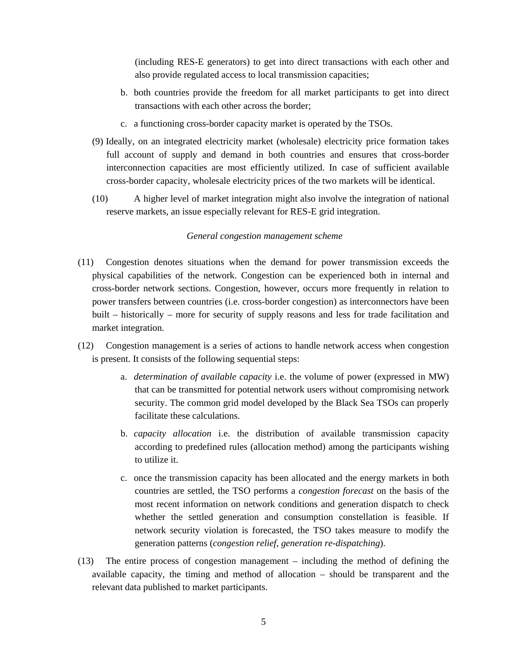(including RES-E generators) to get into direct transactions with each other and also provide regulated access to local transmission capacities;

- b. both countries provide the freedom for all market participants to get into direct transactions with each other across the border;
- c. a functioning cross-border capacity market is operated by the TSOs.
- (9) Ideally, on an integrated electricity market (wholesale) electricity price formation takes full account of supply and demand in both countries and ensures that cross-border interconnection capacities are most efficiently utilized. In case of sufficient available cross-border capacity, wholesale electricity prices of the two markets will be identical.
- (10) A higher level of market integration might also involve the integration of national reserve markets, an issue especially relevant for RES-E grid integration.

## *General congestion management scheme*

- (11) Congestion denotes situations when the demand for power transmission exceeds the physical capabilities of the network. Congestion can be experienced both in internal and cross-border network sections. Congestion, however, occurs more frequently in relation to power transfers between countries (i.e. cross-border congestion) as interconnectors have been built – historically – more for security of supply reasons and less for trade facilitation and market integration.
- (12) Congestion management is a series of actions to handle network access when congestion is present. It consists of the following sequential steps:
	- a. *determination of available capacity* i.e. the volume of power (expressed in MW) that can be transmitted for potential network users without compromising network security. The common grid model developed by the Black Sea TSOs can properly facilitate these calculations.
	- b. *capacity allocation* i.e. the distribution of available transmission capacity according to predefined rules (allocation method) among the participants wishing to utilize it.
	- c. once the transmission capacity has been allocated and the energy markets in both countries are settled, the TSO performs a *congestion forecast* on the basis of the most recent information on network conditions and generation dispatch to check whether the settled generation and consumption constellation is feasible. If network security violation is forecasted, the TSO takes measure to modify the generation patterns (*congestion relief, generation re-dispatching*).
- (13) The entire process of congestion management including the method of defining the available capacity, the timing and method of allocation – should be transparent and the relevant data published to market participants.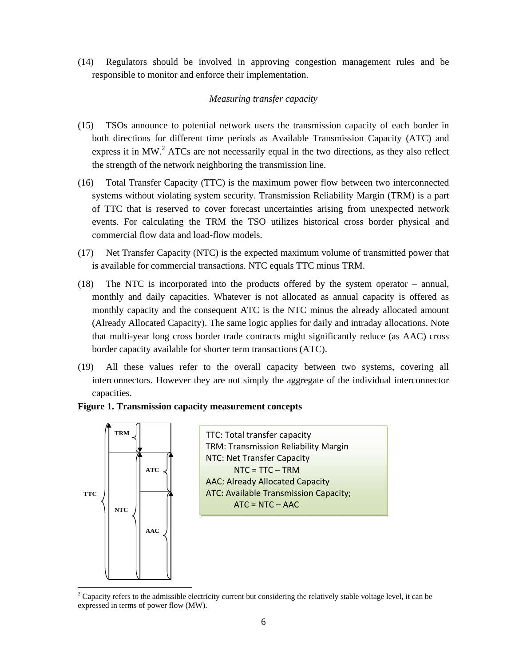(14) Regulators should be involved in approving congestion management rules and be responsible to monitor and enforce their implementation.

## *Measuring transfer capacity*

- (15) TSOs announce to potential network users the transmission capacity of each border in both directions for different time periods as Available Transmission Capacity (ATC) and express it in MW.<sup>2</sup> ATCs are not necessarily equal in the two directions, as they also reflect the strength of the network neighboring the transmission line.
- (16) Total Transfer Capacity (TTC) is the maximum power flow between two interconnected systems without violating system security. Transmission Reliability Margin (TRM) is a part of TTC that is reserved to cover forecast uncertainties arising from unexpected network events. For calculating the TRM the TSO utilizes historical cross border physical and commercial flow data and load-flow models.
- (17) Net Transfer Capacity (NTC) is the expected maximum volume of transmitted power that is available for commercial transactions. NTC equals TTC minus TRM.
- (18) The NTC is incorporated into the products offered by the system operator annual, monthly and daily capacities. Whatever is not allocated as annual capacity is offered as monthly capacity and the consequent ATC is the NTC minus the already allocated amount (Already Allocated Capacity). The same logic applies for daily and intraday allocations. Note that multi-year long cross border trade contracts might significantly reduce (as AAC) cross border capacity available for shorter term transactions (ATC).
- (19) All these values refer to the overall capacity between two systems, covering all interconnectors. However they are not simply the aggregate of the individual interconnector capacities.

## **Figure 1. Transmission capacity measurement concepts**



<sup>&</sup>lt;sup>2</sup> Capacity refers to the admissible electricity current but considering the relatively stable voltage level, it can be expressed in terms of power flow (MW).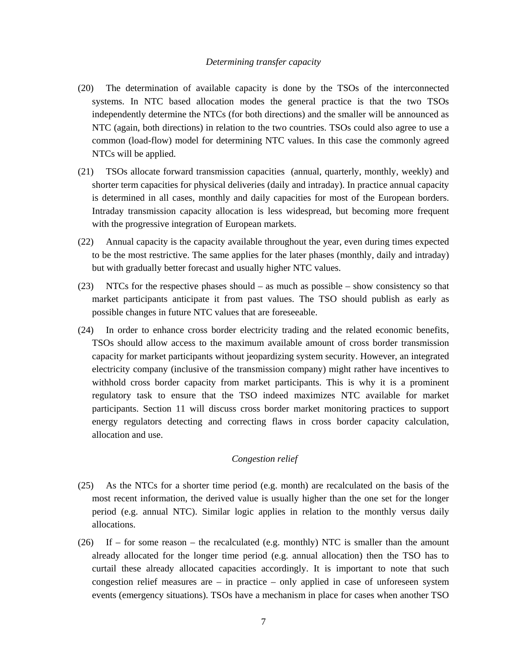#### *Determining transfer capacity*

- (20) The determination of available capacity is done by the TSOs of the interconnected systems. In NTC based allocation modes the general practice is that the two TSOs independently determine the NTCs (for both directions) and the smaller will be announced as NTC (again, both directions) in relation to the two countries. TSOs could also agree to use a common (load-flow) model for determining NTC values. In this case the commonly agreed NTCs will be applied.
- (21) TSOs allocate forward transmission capacities (annual, quarterly, monthly, weekly) and shorter term capacities for physical deliveries (daily and intraday). In practice annual capacity is determined in all cases, monthly and daily capacities for most of the European borders. Intraday transmission capacity allocation is less widespread, but becoming more frequent with the progressive integration of European markets.
- (22) Annual capacity is the capacity available throughout the year, even during times expected to be the most restrictive. The same applies for the later phases (monthly, daily and intraday) but with gradually better forecast and usually higher NTC values.
- (23) NTCs for the respective phases should as much as possible show consistency so that market participants anticipate it from past values. The TSO should publish as early as possible changes in future NTC values that are foreseeable.
- (24) In order to enhance cross border electricity trading and the related economic benefits, TSOs should allow access to the maximum available amount of cross border transmission capacity for market participants without jeopardizing system security. However, an integrated electricity company (inclusive of the transmission company) might rather have incentives to withhold cross border capacity from market participants. This is why it is a prominent regulatory task to ensure that the TSO indeed maximizes NTC available for market participants. Section 11 will discuss cross border market monitoring practices to support energy regulators detecting and correcting flaws in cross border capacity calculation, allocation and use.

## *Congestion relief*

- (25) As the NTCs for a shorter time period (e.g. month) are recalculated on the basis of the most recent information, the derived value is usually higher than the one set for the longer period (e.g. annual NTC). Similar logic applies in relation to the monthly versus daily allocations.
- $(26)$  If for some reason the recalculated (e.g. monthly) NTC is smaller than the amount already allocated for the longer time period (e.g. annual allocation) then the TSO has to curtail these already allocated capacities accordingly. It is important to note that such congestion relief measures are  $-$  in practice  $-$  only applied in case of unforeseen system events (emergency situations). TSOs have a mechanism in place for cases when another TSO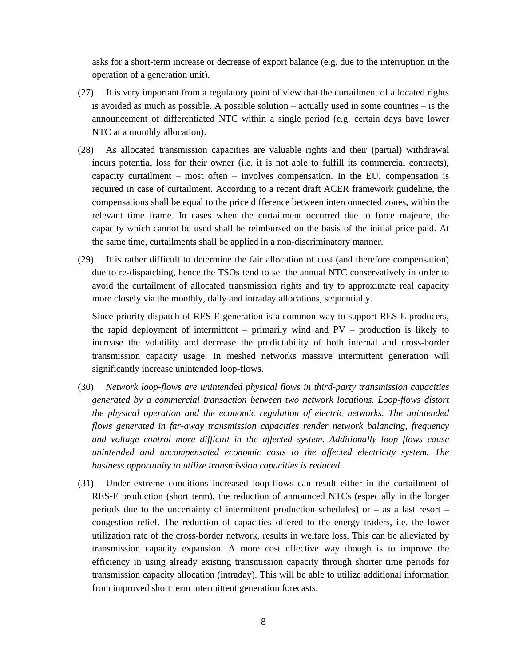asks for a short-term increase or decrease of export balance (e.g. due to the interruption in the operation of a generation unit).

- (27) It is very important from a regulatory point of view that the curtailment of allocated rights is avoided as much as possible. A possible solution – actually used in some countries – is the announcement of differentiated NTC within a single period (e.g. certain days have lower NTC at a monthly allocation).
- (28) As allocated transmission capacities are valuable rights and their (partial) withdrawal incurs potential loss for their owner (i.e. it is not able to fulfill its commercial contracts), capacity curtailment – most often – involves compensation. In the EU, compensation is required in case of curtailment. According to a recent draft ACER framework guideline, the compensations shall be equal to the price difference between interconnected zones, within the relevant time frame. In cases when the curtailment occurred due to force majeure, the capacity which cannot be used shall be reimbursed on the basis of the initial price paid. At the same time, curtailments shall be applied in a non-discriminatory manner.
- (29) It is rather difficult to determine the fair allocation of cost (and therefore compensation) due to re-dispatching, hence the TSOs tend to set the annual NTC conservatively in order to avoid the curtailment of allocated transmission rights and try to approximate real capacity more closely via the monthly, daily and intraday allocations, sequentially.

Since priority dispatch of RES-E generation is a common way to support RES-E producers, the rapid deployment of intermittent – primarily wind and  $PV -$  production is likely to increase the volatility and decrease the predictability of both internal and cross-border transmission capacity usage. In meshed networks massive intermittent generation will significantly increase unintended loop-flows.

- (30) *Network loop-flows are unintended physical flows in third-party transmission capacities generated by a commercial transaction between two network locations. Loop-flows distort the physical operation and the economic regulation of electric networks. The unintended flows generated in far-away transmission capacities render network balancing, frequency and voltage control more difficult in the affected system. Additionally loop flows cause unintended and uncompensated economic costs to the affected electricity system. The business opportunity to utilize transmission capacities is reduced.*
- (31) Under extreme conditions increased loop-flows can result either in the curtailment of RES-E production (short term), the reduction of announced NTCs (especially in the longer periods due to the uncertainty of intermittent production schedules) or – as a last resort – congestion relief. The reduction of capacities offered to the energy traders, i.e. the lower utilization rate of the cross-border network, results in welfare loss. This can be alleviated by transmission capacity expansion. A more cost effective way though is to improve the efficiency in using already existing transmission capacity through shorter time periods for transmission capacity allocation (intraday). This will be able to utilize additional information from improved short term intermittent generation forecasts.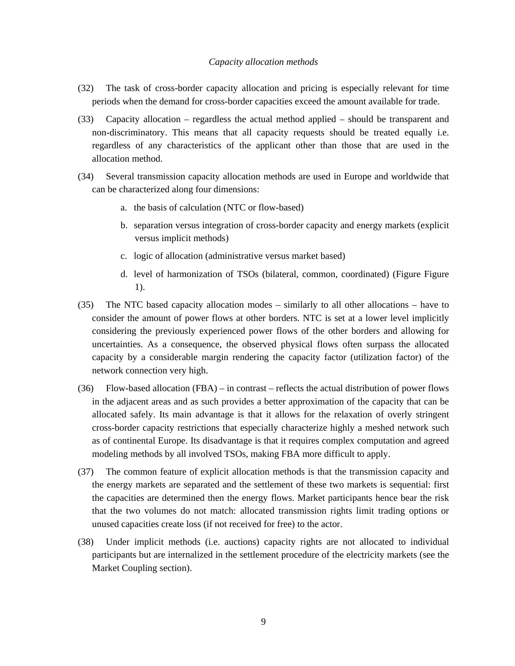#### *Capacity allocation methods*

- (32) The task of cross-border capacity allocation and pricing is especially relevant for time periods when the demand for cross-border capacities exceed the amount available for trade.
- (33) Capacity allocation regardless the actual method applied should be transparent and non-discriminatory. This means that all capacity requests should be treated equally i.e. regardless of any characteristics of the applicant other than those that are used in the allocation method.
- (34) Several transmission capacity allocation methods are used in Europe and worldwide that can be characterized along four dimensions:
	- a. the basis of calculation (NTC or flow-based)
	- b. separation versus integration of cross-border capacity and energy markets (explicit versus implicit methods)
	- c. logic of allocation (administrative versus market based)
	- d. level of harmonization of TSOs (bilateral, common, coordinated) (Figure Figure 1).
- (35) The NTC based capacity allocation modes similarly to all other allocations have to consider the amount of power flows at other borders. NTC is set at a lower level implicitly considering the previously experienced power flows of the other borders and allowing for uncertainties. As a consequence, the observed physical flows often surpass the allocated capacity by a considerable margin rendering the capacity factor (utilization factor) of the network connection very high.
- (36) Flow-based allocation (FBA) in contrast reflects the actual distribution of power flows in the adjacent areas and as such provides a better approximation of the capacity that can be allocated safely. Its main advantage is that it allows for the relaxation of overly stringent cross-border capacity restrictions that especially characterize highly a meshed network such as of continental Europe. Its disadvantage is that it requires complex computation and agreed modeling methods by all involved TSOs, making FBA more difficult to apply.
- (37) The common feature of explicit allocation methods is that the transmission capacity and the energy markets are separated and the settlement of these two markets is sequential: first the capacities are determined then the energy flows. Market participants hence bear the risk that the two volumes do not match: allocated transmission rights limit trading options or unused capacities create loss (if not received for free) to the actor.
- (38) Under implicit methods (i.e. auctions) capacity rights are not allocated to individual participants but are internalized in the settlement procedure of the electricity markets (see the Market Coupling section).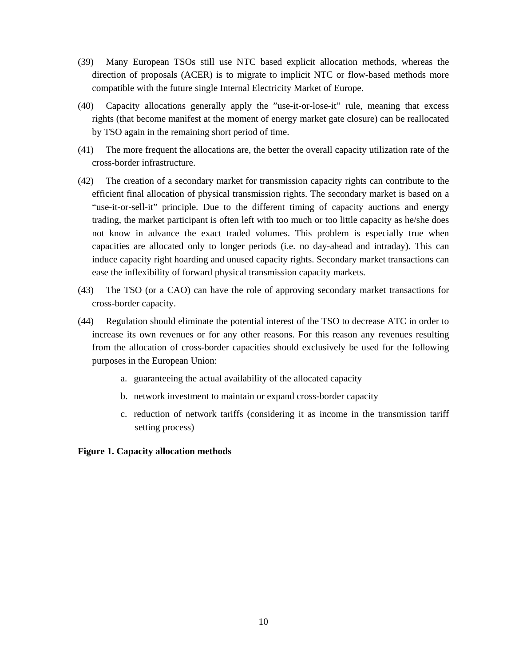- (39) Many European TSOs still use NTC based explicit allocation methods, whereas the direction of proposals (ACER) is to migrate to implicit NTC or flow-based methods more compatible with the future single Internal Electricity Market of Europe.
- (40) Capacity allocations generally apply the "use-it-or-lose-it" rule, meaning that excess rights (that become manifest at the moment of energy market gate closure) can be reallocated by TSO again in the remaining short period of time.
- (41) The more frequent the allocations are, the better the overall capacity utilization rate of the cross-border infrastructure.
- (42) The creation of a secondary market for transmission capacity rights can contribute to the efficient final allocation of physical transmission rights. The secondary market is based on a "use-it-or-sell-it" principle. Due to the different timing of capacity auctions and energy trading, the market participant is often left with too much or too little capacity as he/she does not know in advance the exact traded volumes. This problem is especially true when capacities are allocated only to longer periods (i.e. no day-ahead and intraday). This can induce capacity right hoarding and unused capacity rights. Secondary market transactions can ease the inflexibility of forward physical transmission capacity markets.
- (43) The TSO (or a CAO) can have the role of approving secondary market transactions for cross-border capacity.
- (44) Regulation should eliminate the potential interest of the TSO to decrease ATC in order to increase its own revenues or for any other reasons. For this reason any revenues resulting from the allocation of cross-border capacities should exclusively be used for the following purposes in the European Union:
	- a. guaranteeing the actual availability of the allocated capacity
	- b. network investment to maintain or expand cross-border capacity
	- c. reduction of network tariffs (considering it as income in the transmission tariff setting process)

#### **Figure 1. Capacity allocation methods**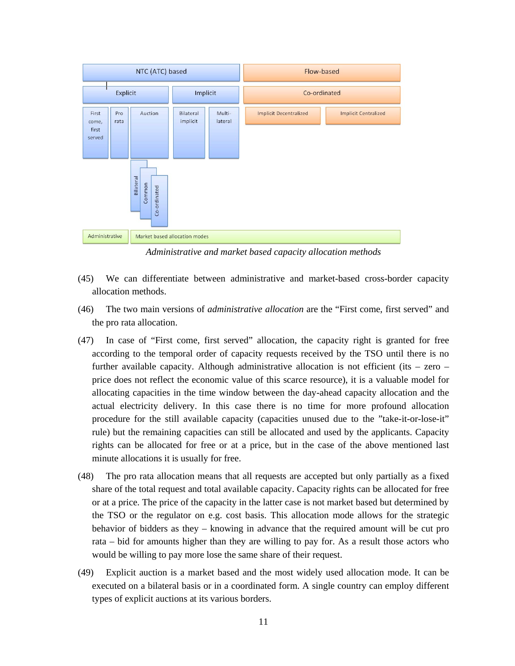

*Administrative and market based capacity allocation methods* 

- (45) We can differentiate between administrative and market-based cross-border capacity allocation methods.
- (46) The two main versions of *administrative allocation* are the "First come, first served" and the pro rata allocation.
- (47) In case of "First come, first served" allocation, the capacity right is granted for free according to the temporal order of capacity requests received by the TSO until there is no further available capacity. Although administrative allocation is not efficient (its  $-$  zero  $$ price does not reflect the economic value of this scarce resource), it is a valuable model for allocating capacities in the time window between the day-ahead capacity allocation and the actual electricity delivery. In this case there is no time for more profound allocation procedure for the still available capacity (capacities unused due to the "take-it-or-lose-it" rule) but the remaining capacities can still be allocated and used by the applicants. Capacity rights can be allocated for free or at a price, but in the case of the above mentioned last minute allocations it is usually for free.
- (48) The pro rata allocation means that all requests are accepted but only partially as a fixed share of the total request and total available capacity. Capacity rights can be allocated for free or at a price. The price of the capacity in the latter case is not market based but determined by the TSO or the regulator on e.g. cost basis. This allocation mode allows for the strategic behavior of bidders as they – knowing in advance that the required amount will be cut pro rata – bid for amounts higher than they are willing to pay for. As a result those actors who would be willing to pay more lose the same share of their request.
- (49) Explicit auction is a market based and the most widely used allocation mode. It can be executed on a bilateral basis or in a coordinated form. A single country can employ different types of explicit auctions at its various borders.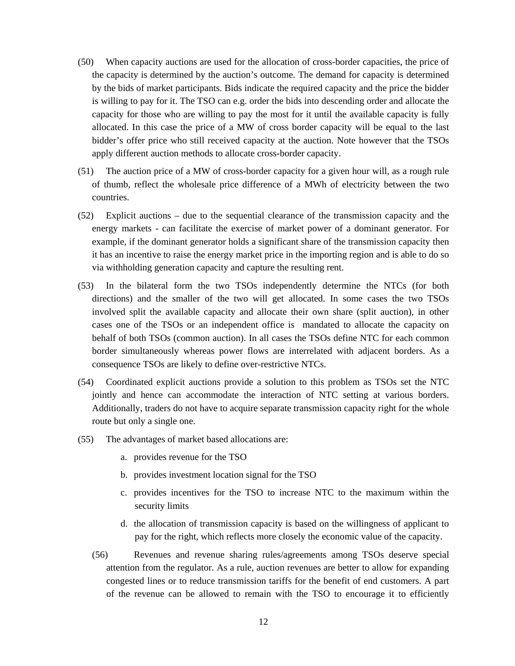- (50) When capacity auctions are used for the allocation of cross-border capacities, the price of the capacity is determined by the auction's outcome. The demand for capacity is determined by the bids of market participants. Bids indicate the required capacity and the price the bidder is willing to pay for it. The TSO can e.g. order the bids into descending order and allocate the capacity for those who are willing to pay the most for it until the available capacity is fully allocated. In this case the price of a MW of cross border capacity will be equal to the last bidder's offer price who still received capacity at the auction. Note however that the TSOs apply different auction methods to allocate cross-border capacity.
- (51) The auction price of a MW of cross-border capacity for a given hour will, as a rough rule of thumb, reflect the wholesale price difference of a MWh of electricity between the two countries.
- (52) Explicit auctions due to the sequential clearance of the transmission capacity and the energy markets - can facilitate the exercise of market power of a dominant generator. For example, if the dominant generator holds a significant share of the transmission capacity then it has an incentive to raise the energy market price in the importing region and is able to do so via withholding generation capacity and capture the resulting rent.
- (53) In the bilateral form the two TSOs independently determine the NTCs (for both directions) and the smaller of the two will get allocated. In some cases the two TSOs involved split the available capacity and allocate their own share (split auction), in other cases one of the TSOs or an independent office is mandated to allocate the capacity on behalf of both TSOs (common auction). In all cases the TSOs define NTC for each common border simultaneously whereas power flows are interrelated with adjacent borders. As a consequence TSOs are likely to define over-restrictive NTCs.
- (54) Coordinated explicit auctions provide a solution to this problem as TSOs set the NTC jointly and hence can accommodate the interaction of NTC setting at various borders. Additionally, traders do not have to acquire separate transmission capacity right for the whole route but only a single one.
- (55) The advantages of market based allocations are:
	- a. provides revenue for the TSO
	- b. provides investment location signal for the TSO
	- c. provides incentives for the TSO to increase NTC to the maximum within the security limits
	- d. the allocation of transmission capacity is based on the willingness of applicant to pay for the right, which reflects more closely the economic value of the capacity.
	- (56) Revenues and revenue sharing rules/agreements among TSOs deserve special attention from the regulator. As a rule, auction revenues are better to allow for expanding congested lines or to reduce transmission tariffs for the benefit of end customers. A part of the revenue can be allowed to remain with the TSO to encourage it to efficiently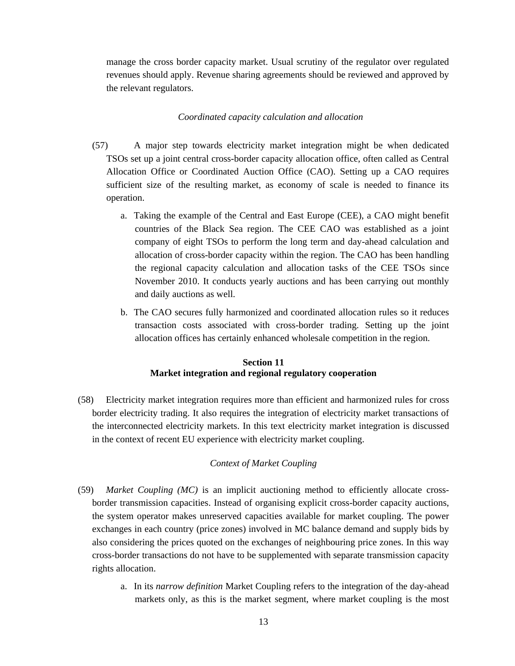manage the cross border capacity market. Usual scrutiny of the regulator over regulated revenues should apply. Revenue sharing agreements should be reviewed and approved by the relevant regulators.

#### *Coordinated capacity calculation and allocation*

- (57) A major step towards electricity market integration might be when dedicated TSOs set up a joint central cross-border capacity allocation office, often called as Central Allocation Office or Coordinated Auction Office (CAO). Setting up a CAO requires sufficient size of the resulting market, as economy of scale is needed to finance its operation.
	- a. Taking the example of the Central and East Europe (CEE), a CAO might benefit countries of the Black Sea region. The CEE CAO was established as a joint company of eight TSOs to perform the long term and day-ahead calculation and allocation of cross-border capacity within the region. The CAO has been handling the regional capacity calculation and allocation tasks of the CEE TSOs since November 2010. It conducts yearly auctions and has been carrying out monthly and daily auctions as well.
	- b. The CAO secures fully harmonized and coordinated allocation rules so it reduces transaction costs associated with cross-border trading. Setting up the joint allocation offices has certainly enhanced wholesale competition in the region.

## **Section 11 Market integration and regional regulatory cooperation**

(58) Electricity market integration requires more than efficient and harmonized rules for cross border electricity trading. It also requires the integration of electricity market transactions of the interconnected electricity markets. In this text electricity market integration is discussed in the context of recent EU experience with electricity market coupling.

## *Context of Market Coupling*

- (59) *Market Coupling (MC)* is an implicit auctioning method to efficiently allocate crossborder transmission capacities. Instead of organising explicit cross-border capacity auctions, the system operator makes unreserved capacities available for market coupling. The power exchanges in each country (price zones) involved in MC balance demand and supply bids by also considering the prices quoted on the exchanges of neighbouring price zones. In this way cross-border transactions do not have to be supplemented with separate transmission capacity rights allocation.
	- a. In its *narrow definition* Market Coupling refers to the integration of the day-ahead markets only, as this is the market segment, where market coupling is the most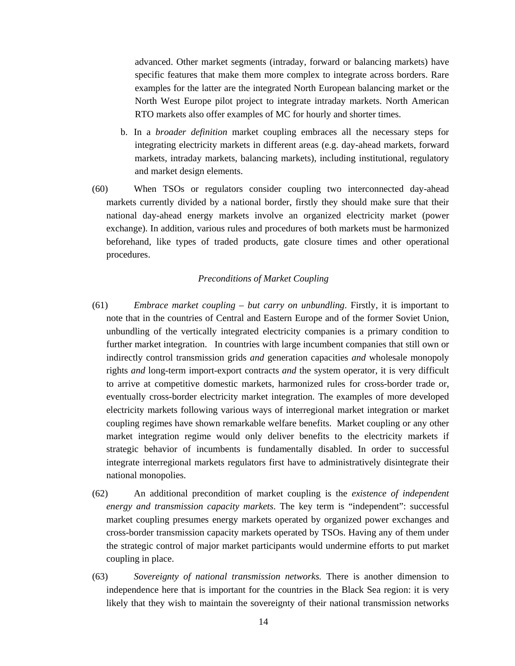advanced. Other market segments (intraday, forward or balancing markets) have specific features that make them more complex to integrate across borders. Rare examples for the latter are the integrated North European balancing market or the North West Europe pilot project to integrate intraday markets. North American RTO markets also offer examples of MC for hourly and shorter times.

- b. In a *broader definition* market coupling embraces all the necessary steps for integrating electricity markets in different areas (e.g. day-ahead markets, forward markets, intraday markets, balancing markets), including institutional, regulatory and market design elements.
- (60) When TSOs or regulators consider coupling two interconnected day-ahead markets currently divided by a national border, firstly they should make sure that their national day-ahead energy markets involve an organized electricity market (power exchange). In addition, various rules and procedures of both markets must be harmonized beforehand, like types of traded products, gate closure times and other operational procedures.

## *Preconditions of Market Coupling*

- (61) *Embrace market coupling but carry on unbundling*. Firstly, it is important to note that in the countries of Central and Eastern Europe and of the former Soviet Union, unbundling of the vertically integrated electricity companies is a primary condition to further market integration. In countries with large incumbent companies that still own or indirectly control transmission grids *and* generation capacities *and* wholesale monopoly rights *and* long-term import-export contracts *and* the system operator, it is very difficult to arrive at competitive domestic markets, harmonized rules for cross-border trade or, eventually cross-border electricity market integration. The examples of more developed electricity markets following various ways of interregional market integration or market coupling regimes have shown remarkable welfare benefits. Market coupling or any other market integration regime would only deliver benefits to the electricity markets if strategic behavior of incumbents is fundamentally disabled. In order to successful integrate interregional markets regulators first have to administratively disintegrate their national monopolies.
- (62) An additional precondition of market coupling is the *existence of independent energy and transmission capacity markets*. The key term is "independent": successful market coupling presumes energy markets operated by organized power exchanges and cross-border transmission capacity markets operated by TSOs. Having any of them under the strategic control of major market participants would undermine efforts to put market coupling in place.
- (63) *Sovereignty of national transmission networks.* There is another dimension to independence here that is important for the countries in the Black Sea region: it is very likely that they wish to maintain the sovereignty of their national transmission networks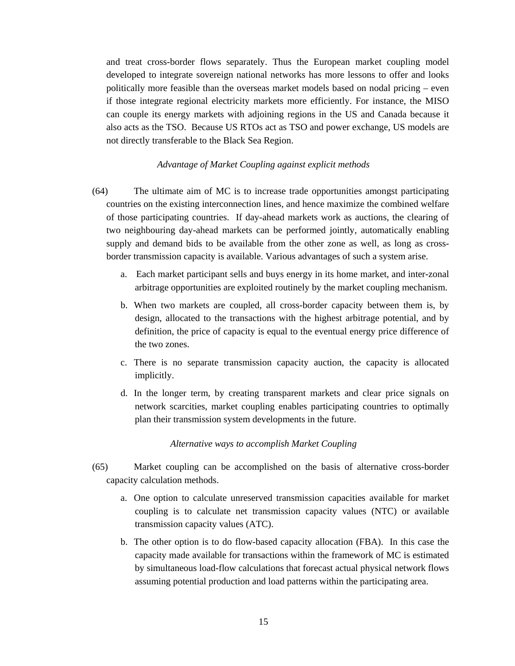and treat cross-border flows separately. Thus the European market coupling model developed to integrate sovereign national networks has more lessons to offer and looks politically more feasible than the overseas market models based on nodal pricing – even if those integrate regional electricity markets more efficiently. For instance, the MISO can couple its energy markets with adjoining regions in the US and Canada because it also acts as the TSO. Because US RTOs act as TSO and power exchange, US models are not directly transferable to the Black Sea Region.

#### *Advantage of Market Coupling against explicit methods*

- (64) The ultimate aim of MC is to increase trade opportunities amongst participating countries on the existing interconnection lines, and hence maximize the combined welfare of those participating countries. If day-ahead markets work as auctions, the clearing of two neighbouring day-ahead markets can be performed jointly, automatically enabling supply and demand bids to be available from the other zone as well, as long as crossborder transmission capacity is available. Various advantages of such a system arise.
	- a. Each market participant sells and buys energy in its home market, and inter-zonal arbitrage opportunities are exploited routinely by the market coupling mechanism.
	- b. When two markets are coupled, all cross-border capacity between them is, by design, allocated to the transactions with the highest arbitrage potential, and by definition, the price of capacity is equal to the eventual energy price difference of the two zones.
	- c. There is no separate transmission capacity auction, the capacity is allocated implicitly.
	- d. In the longer term, by creating transparent markets and clear price signals on network scarcities, market coupling enables participating countries to optimally plan their transmission system developments in the future.

#### *Alternative ways to accomplish Market Coupling*

- (65) Market coupling can be accomplished on the basis of alternative cross-border capacity calculation methods.
	- a. One option to calculate unreserved transmission capacities available for market coupling is to calculate net transmission capacity values (NTC) or available transmission capacity values (ATC).
	- b. The other option is to do flow-based capacity allocation (FBA). In this case the capacity made available for transactions within the framework of MC is estimated by simultaneous load-flow calculations that forecast actual physical network flows assuming potential production and load patterns within the participating area.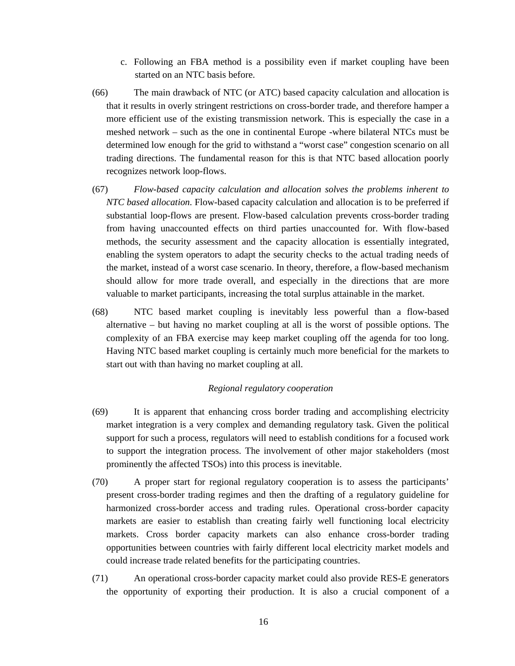- c. Following an FBA method is a possibility even if market coupling have been started on an NTC basis before.
- (66) The main drawback of NTC (or ATC) based capacity calculation and allocation is that it results in overly stringent restrictions on cross-border trade, and therefore hamper a more efficient use of the existing transmission network. This is especially the case in a meshed network – such as the one in continental Europe -where bilateral NTCs must be determined low enough for the grid to withstand a "worst case" congestion scenario on all trading directions. The fundamental reason for this is that NTC based allocation poorly recognizes network loop-flows.
- (67) *Flow-based capacity calculation and allocation solves the problems inherent to NTC based allocation.* Flow-based capacity calculation and allocation is to be preferred if substantial loop-flows are present. Flow-based calculation prevents cross-border trading from having unaccounted effects on third parties unaccounted for. With flow-based methods, the security assessment and the capacity allocation is essentially integrated, enabling the system operators to adapt the security checks to the actual trading needs of the market, instead of a worst case scenario. In theory, therefore, a flow-based mechanism should allow for more trade overall, and especially in the directions that are more valuable to market participants, increasing the total surplus attainable in the market.
- (68) NTC based market coupling is inevitably less powerful than a flow-based alternative – but having no market coupling at all is the worst of possible options. The complexity of an FBA exercise may keep market coupling off the agenda for too long. Having NTC based market coupling is certainly much more beneficial for the markets to start out with than having no market coupling at all.

### *Regional regulatory cooperation*

- (69) It is apparent that enhancing cross border trading and accomplishing electricity market integration is a very complex and demanding regulatory task. Given the political support for such a process, regulators will need to establish conditions for a focused work to support the integration process. The involvement of other major stakeholders (most prominently the affected TSOs) into this process is inevitable.
- (70) A proper start for regional regulatory cooperation is to assess the participants' present cross-border trading regimes and then the drafting of a regulatory guideline for harmonized cross-border access and trading rules. Operational cross-border capacity markets are easier to establish than creating fairly well functioning local electricity markets. Cross border capacity markets can also enhance cross-border trading opportunities between countries with fairly different local electricity market models and could increase trade related benefits for the participating countries.
- (71) An operational cross-border capacity market could also provide RES-E generators the opportunity of exporting their production. It is also a crucial component of a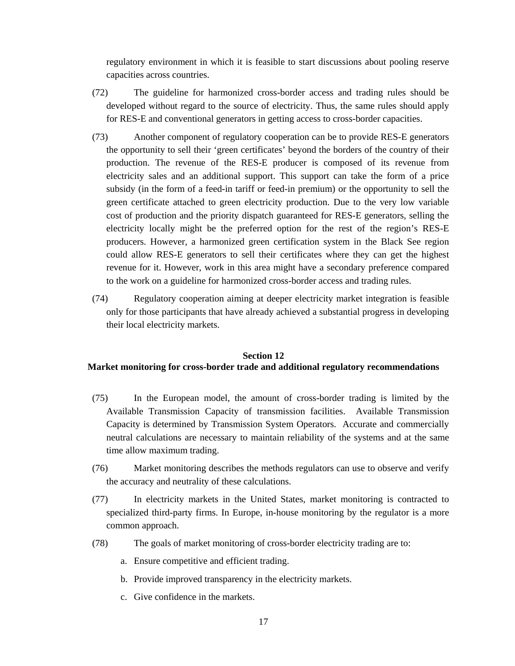regulatory environment in which it is feasible to start discussions about pooling reserve capacities across countries.

- (72) The guideline for harmonized cross-border access and trading rules should be developed without regard to the source of electricity. Thus, the same rules should apply for RES-E and conventional generators in getting access to cross-border capacities.
- (73) Another component of regulatory cooperation can be to provide RES-E generators the opportunity to sell their 'green certificates' beyond the borders of the country of their production. The revenue of the RES-E producer is composed of its revenue from electricity sales and an additional support. This support can take the form of a price subsidy (in the form of a feed-in tariff or feed-in premium) or the opportunity to sell the green certificate attached to green electricity production. Due to the very low variable cost of production and the priority dispatch guaranteed for RES-E generators, selling the electricity locally might be the preferred option for the rest of the region's RES-E producers. However, a harmonized green certification system in the Black See region could allow RES-E generators to sell their certificates where they can get the highest revenue for it. However, work in this area might have a secondary preference compared to the work on a guideline for harmonized cross-border access and trading rules.
- (74) Regulatory cooperation aiming at deeper electricity market integration is feasible only for those participants that have already achieved a substantial progress in developing their local electricity markets.

#### **Section 12**

## **Market monitoring for cross-border trade and additional regulatory recommendations**

- (75) In the European model, the amount of cross-border trading is limited by the Available Transmission Capacity of transmission facilities. Available Transmission Capacity is determined by Transmission System Operators. Accurate and commercially neutral calculations are necessary to maintain reliability of the systems and at the same time allow maximum trading.
- (76) Market monitoring describes the methods regulators can use to observe and verify the accuracy and neutrality of these calculations.
- (77) In electricity markets in the United States, market monitoring is contracted to specialized third-party firms. In Europe, in-house monitoring by the regulator is a more common approach.
- (78) The goals of market monitoring of cross-border electricity trading are to:
	- a. Ensure competitive and efficient trading.
	- b. Provide improved transparency in the electricity markets.
	- c. Give confidence in the markets.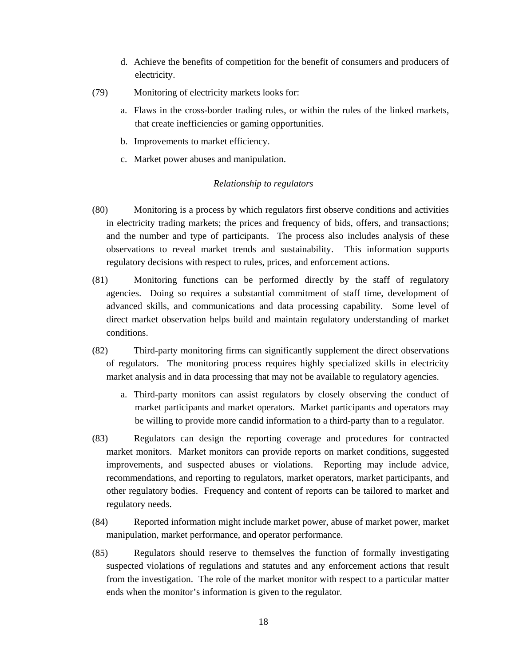- d. Achieve the benefits of competition for the benefit of consumers and producers of electricity.
- (79) Monitoring of electricity markets looks for:
	- a. Flaws in the cross-border trading rules, or within the rules of the linked markets, that create inefficiencies or gaming opportunities.
	- b. Improvements to market efficiency.
	- c. Market power abuses and manipulation.

## *Relationship to regulators*

- (80) Monitoring is a process by which regulators first observe conditions and activities in electricity trading markets; the prices and frequency of bids, offers, and transactions; and the number and type of participants. The process also includes analysis of these observations to reveal market trends and sustainability. This information supports regulatory decisions with respect to rules, prices, and enforcement actions.
- (81) Monitoring functions can be performed directly by the staff of regulatory agencies. Doing so requires a substantial commitment of staff time, development of advanced skills, and communications and data processing capability. Some level of direct market observation helps build and maintain regulatory understanding of market conditions.
- (82) Third-party monitoring firms can significantly supplement the direct observations of regulators. The monitoring process requires highly specialized skills in electricity market analysis and in data processing that may not be available to regulatory agencies.
	- a. Third-party monitors can assist regulators by closely observing the conduct of market participants and market operators. Market participants and operators may be willing to provide more candid information to a third-party than to a regulator.
- (83) Regulators can design the reporting coverage and procedures for contracted market monitors. Market monitors can provide reports on market conditions, suggested improvements, and suspected abuses or violations. Reporting may include advice, recommendations, and reporting to regulators, market operators, market participants, and other regulatory bodies. Frequency and content of reports can be tailored to market and regulatory needs.
- (84) Reported information might include market power, abuse of market power, market manipulation, market performance, and operator performance.
- (85) Regulators should reserve to themselves the function of formally investigating suspected violations of regulations and statutes and any enforcement actions that result from the investigation. The role of the market monitor with respect to a particular matter ends when the monitor's information is given to the regulator.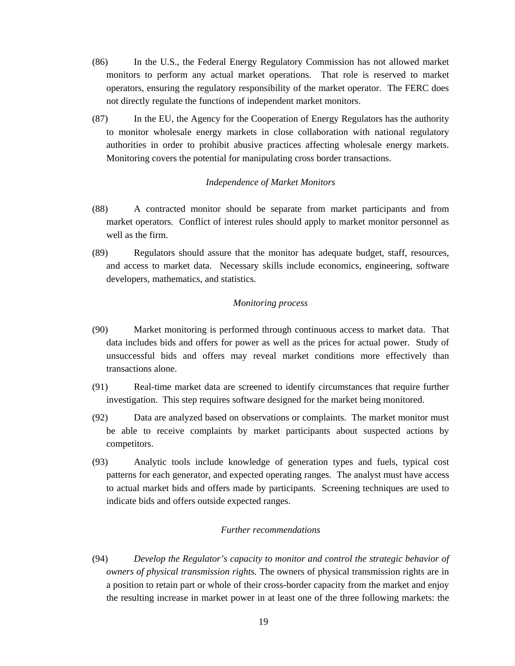- (86) In the U.S., the Federal Energy Regulatory Commission has not allowed market monitors to perform any actual market operations. That role is reserved to market operators, ensuring the regulatory responsibility of the market operator. The FERC does not directly regulate the functions of independent market monitors.
- (87) In the EU, the Agency for the Cooperation of Energy Regulators has the authority to monitor wholesale energy markets in close collaboration with national regulatory authorities in order to prohibit abusive practices affecting wholesale energy markets. Monitoring covers the potential for manipulating cross border transactions.

### *Independence of Market Monitors*

- (88) A contracted monitor should be separate from market participants and from market operators. Conflict of interest rules should apply to market monitor personnel as well as the firm.
- (89) Regulators should assure that the monitor has adequate budget, staff, resources, and access to market data. Necessary skills include economics, engineering, software developers, mathematics, and statistics.

#### *Monitoring process*

- (90) Market monitoring is performed through continuous access to market data. That data includes bids and offers for power as well as the prices for actual power. Study of unsuccessful bids and offers may reveal market conditions more effectively than transactions alone.
- (91) Real-time market data are screened to identify circumstances that require further investigation. This step requires software designed for the market being monitored.
- (92) Data are analyzed based on observations or complaints. The market monitor must be able to receive complaints by market participants about suspected actions by competitors.
- (93) Analytic tools include knowledge of generation types and fuels, typical cost patterns for each generator, and expected operating ranges. The analyst must have access to actual market bids and offers made by participants. Screening techniques are used to indicate bids and offers outside expected ranges.

#### *Further recommendations*

(94) *Develop the Regulator's capacity to monitor and control the strategic behavior of owners of physical transmission rights.* The owners of physical transmission rights are in a position to retain part or whole of their cross-border capacity from the market and enjoy the resulting increase in market power in at least one of the three following markets: the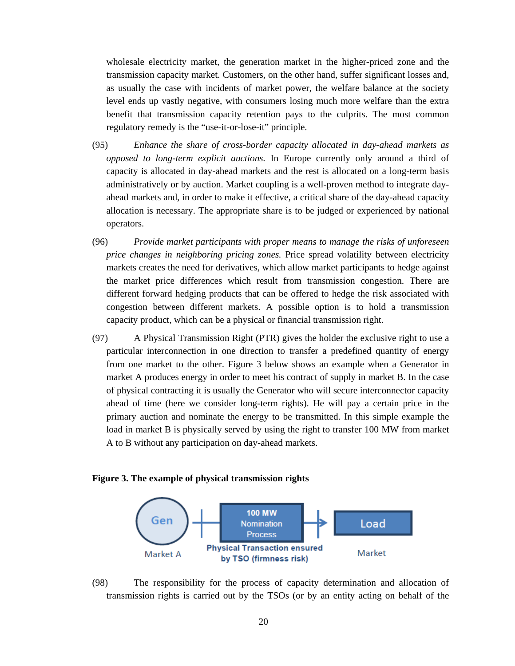wholesale electricity market, the generation market in the higher-priced zone and the transmission capacity market. Customers, on the other hand, suffer significant losses and, as usually the case with incidents of market power, the welfare balance at the society level ends up vastly negative, with consumers losing much more welfare than the extra benefit that transmission capacity retention pays to the culprits. The most common regulatory remedy is the "use-it-or-lose-it" principle.

- (95) *Enhance the share of cross-border capacity allocated in day-ahead markets as opposed to long-term explicit auctions.* In Europe currently only around a third of capacity is allocated in day-ahead markets and the rest is allocated on a long-term basis administratively or by auction. Market coupling is a well-proven method to integrate dayahead markets and, in order to make it effective, a critical share of the day-ahead capacity allocation is necessary. The appropriate share is to be judged or experienced by national operators.
- (96) *Provide market participants with proper means to manage the risks of unforeseen price changes in neighboring pricing zones.* Price spread volatility between electricity markets creates the need for derivatives, which allow market participants to hedge against the market price differences which result from transmission congestion. There are different forward hedging products that can be offered to hedge the risk associated with congestion between different markets. A possible option is to hold a transmission capacity product, which can be a physical or financial transmission right.
- (97) A Physical Transmission Right (PTR) gives the holder the exclusive right to use a particular interconnection in one direction to transfer a predefined quantity of energy from one market to the other. Figure 3 below shows an example when a Generator in market A produces energy in order to meet his contract of supply in market B. In the case of physical contracting it is usually the Generator who will secure interconnector capacity ahead of time (here we consider long-term rights). He will pay a certain price in the primary auction and nominate the energy to be transmitted. In this simple example the load in market B is physically served by using the right to transfer 100 MW from market A to B without any participation on day-ahead markets.

#### **Figure 3. The example of physical transmission rights**



(98) The responsibility for the process of capacity determination and allocation of transmission rights is carried out by the TSOs (or by an entity acting on behalf of the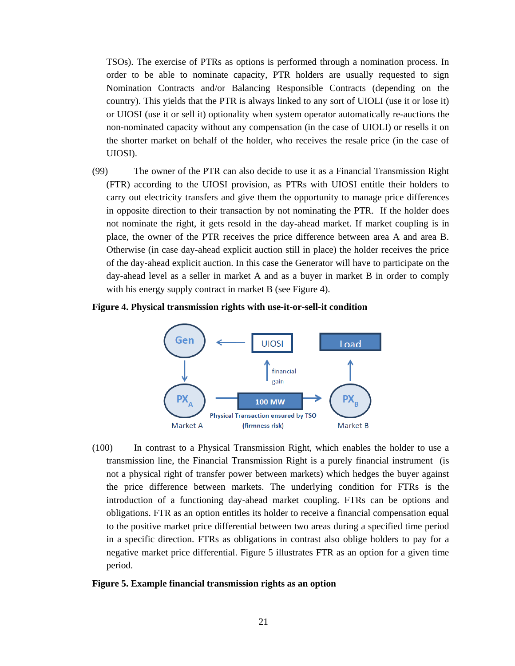TSOs). The exercise of PTRs as options is performed through a nomination process. In order to be able to nominate capacity, PTR holders are usually requested to sign Nomination Contracts and/or Balancing Responsible Contracts (depending on the country). This yields that the PTR is always linked to any sort of UIOLI (use it or lose it) or UIOSI (use it or sell it) optionality when system operator automatically re-auctions the non-nominated capacity without any compensation (in the case of UIOLI) or resells it on the shorter market on behalf of the holder, who receives the resale price (in the case of UIOSI).

(99) The owner of the PTR can also decide to use it as a Financial Transmission Right (FTR) according to the UIOSI provision, as PTRs with UIOSI entitle their holders to carry out electricity transfers and give them the opportunity to manage price differences in opposite direction to their transaction by not nominating the PTR. If the holder does not nominate the right, it gets resold in the day-ahead market. If market coupling is in place, the owner of the PTR receives the price difference between area A and area B. Otherwise (in case day-ahead explicit auction still in place) the holder receives the price of the day-ahead explicit auction. In this case the Generator will have to participate on the day-ahead level as a seller in market A and as a buyer in market B in order to comply with his energy supply contract in market B (see Figure 4).

#### **Figure 4. Physical transmission rights with use-it-or-sell-it condition**



(100) In contrast to a Physical Transmission Right, which enables the holder to use a transmission line, the Financial Transmission Right is a purely financial instrument (is not a physical right of transfer power between markets) which hedges the buyer against the price difference between markets. The underlying condition for FTRs is the introduction of a functioning day-ahead market coupling. FTRs can be options and obligations. FTR as an option entitles its holder to receive a financial compensation equal to the positive market price differential between two areas during a specified time period in a specific direction. FTRs as obligations in contrast also oblige holders to pay for a negative market price differential. Figure 5 illustrates FTR as an option for a given time period.

#### **Figure 5. Example financial transmission rights as an option**